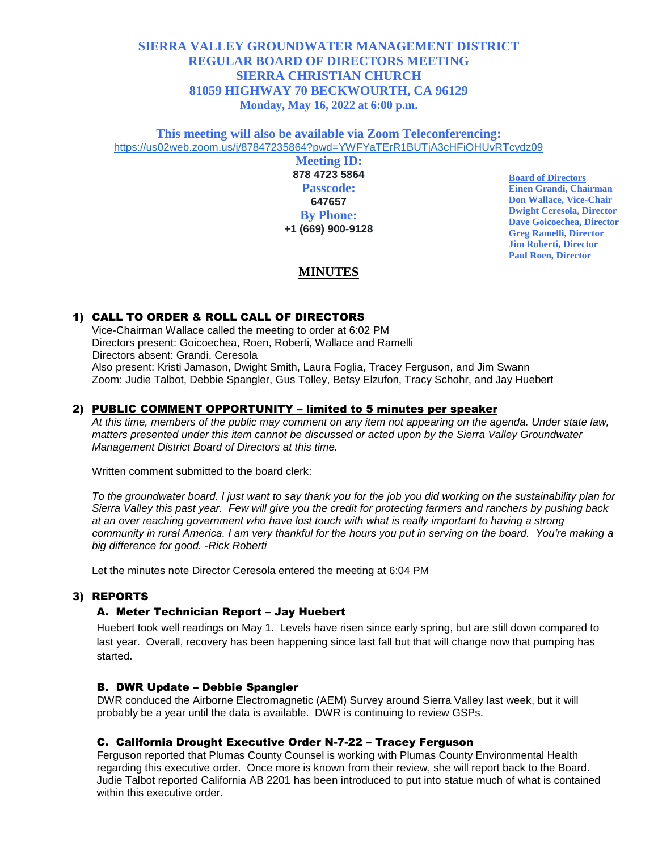# **SIERRA VALLEY GROUNDWATER MANAGEMENT DISTRICT REGULAR BOARD OF DIRECTORS MEETING SIERRA CHRISTIAN CHURCH 81059 HIGHWAY 70 BECKWOURTH, CA 96129 Monday, May 16, 2022 at 6:00 p.m.**

**This meeting will also be available via Zoom Teleconferencing:** [https://us02web.zoom.us/j/87847235864?pwd=YWFYaTErR1BUTjA3cHFiOHUvRTcydz09](https://www.google.com/url?q=https://us02web.zoom.us/j/87847235864?pwd%3DYWFYaTErR1BUTjA3cHFiOHUvRTcydz09&sa=D&source=calendar&usd=2&usg=AOvVaw17jld7UEAVbXdKVSqMMnqP)

# **Meeting ID: 878 4723 5864 Passcode: 647657 By Phone: +1 (669) 900-9128**

**Board of Directors Einen Grandi, Chairman Don Wallace, Vice-Chair Dwight Ceresola, Director Dave Goicoechea, Director Greg Ramelli, Director Jim Roberti, Director Paul Roen, Director**

# **MINUTES**

# 1) CALL TO ORDER & ROLL CALL OF DIRECTORS

Vice-Chairman Wallace called the meeting to order at 6:02 PM Directors present: Goicoechea, Roen, Roberti, Wallace and Ramelli Directors absent: Grandi, Ceresola Also present: Kristi Jamason, Dwight Smith, Laura Foglia, Tracey Ferguson, and Jim Swann Zoom: Judie Talbot, Debbie Spangler, Gus Tolley, Betsy Elzufon, Tracy Schohr, and Jay Huebert

### 2) PUBLIC COMMENT OPPORTUNITY – limited to 5 minutes per speaker

*At this time, members of the public may comment on any item not appearing on the agenda. Under state law, matters presented under this item cannot be discussed or acted upon by the Sierra Valley Groundwater Management District Board of Directors at this time.*

Written comment submitted to the board clerk:

*To the groundwater board. I just want to say thank you for the job you did working on the sustainability plan for Sierra Valley this past year. Few will give you the credit for protecting farmers and ranchers by pushing back at an over reaching government who have lost touch with what is really important to having a strong community in rural America. I am very thankful for the hours you put in serving on the board. You're making a big difference for good. -Rick Roberti*

Let the minutes note Director Ceresola entered the meeting at 6:04 PM

### 3) REPORTS

### A. Meter Technician Report – Jay Huebert

Huebert took well readings on May 1. Levels have risen since early spring, but are still down compared to last year. Overall, recovery has been happening since last fall but that will change now that pumping has started.

### B. DWR Update – Debbie Spangler

DWR conduced the Airborne Electromagnetic (AEM) Survey around Sierra Valley last week, but it will probably be a year until the data is available. DWR is continuing to review GSPs.

### C. California Drought Executive Order N-7-22 – Tracey Ferguson

Ferguson reported that Plumas County Counsel is working with Plumas County Environmental Health regarding this executive order. Once more is known from their review, she will report back to the Board. Judie Talbot reported California AB 2201 has been introduced to put into statue much of what is contained within this executive order.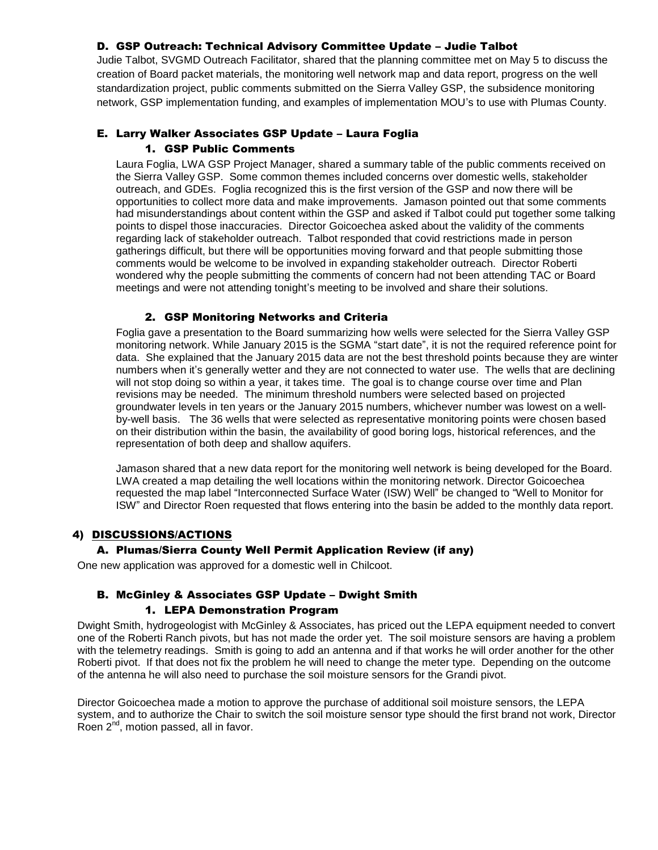# D. GSP Outreach: Technical Advisory Committee Update – Judie Talbot

Judie Talbot, SVGMD Outreach Facilitator, shared that the planning committee met on May 5 to discuss the creation of Board packet materials, the monitoring well network map and data report, progress on the well standardization project, public comments submitted on the Sierra Valley GSP, the subsidence monitoring network, GSP implementation funding, and examples of implementation MOU's to use with Plumas County.

### E. Larry Walker Associates GSP Update – Laura Foglia 1. GSP Public Comments

Laura Foglia, LWA GSP Project Manager, shared a summary table of the public comments received on the Sierra Valley GSP. Some common themes included concerns over domestic wells, stakeholder outreach, and GDEs. Foglia recognized this is the first version of the GSP and now there will be opportunities to collect more data and make improvements. Jamason pointed out that some comments had misunderstandings about content within the GSP and asked if Talbot could put together some talking points to dispel those inaccuracies. Director Goicoechea asked about the validity of the comments regarding lack of stakeholder outreach. Talbot responded that covid restrictions made in person gatherings difficult, but there will be opportunities moving forward and that people submitting those comments would be welcome to be involved in expanding stakeholder outreach. Director Roberti wondered why the people submitting the comments of concern had not been attending TAC or Board meetings and were not attending tonight's meeting to be involved and share their solutions.

### 2. GSP Monitoring Networks and Criteria

Foglia gave a presentation to the Board summarizing how wells were selected for the Sierra Valley GSP monitoring network. While January 2015 is the SGMA "start date", it is not the required reference point for data. She explained that the January 2015 data are not the best threshold points because they are winter numbers when it's generally wetter and they are not connected to water use. The wells that are declining will not stop doing so within a year, it takes time. The goal is to change course over time and Plan revisions may be needed. The minimum threshold numbers were selected based on projected groundwater levels in ten years or the January 2015 numbers, whichever number was lowest on a wellby-well basis. The 36 wells that were selected as representative monitoring points were chosen based on their distribution within the basin, the availability of good boring logs, historical references, and the representation of both deep and shallow aquifers.

Jamason shared that a new data report for the monitoring well network is being developed for the Board. LWA created a map detailing the well locations within the monitoring network. Director Goicoechea requested the map label "Interconnected Surface Water (ISW) Well" be changed to "Well to Monitor for ISW" and Director Roen requested that flows entering into the basin be added to the monthly data report.

### 4) DISCUSSIONS/ACTIONS

#### A. Plumas/Sierra County Well Permit Application Review (if any)

One new application was approved for a domestic well in Chilcoot.

# B. McGinley & Associates GSP Update – Dwight Smith

#### 1. LEPA Demonstration Program

Dwight Smith, hydrogeologist with McGinley & Associates, has priced out the LEPA equipment needed to convert one of the Roberti Ranch pivots, but has not made the order yet. The soil moisture sensors are having a problem with the telemetry readings. Smith is going to add an antenna and if that works he will order another for the other Roberti pivot. If that does not fix the problem he will need to change the meter type. Depending on the outcome of the antenna he will also need to purchase the soil moisture sensors for the Grandi pivot.

Director Goicoechea made a motion to approve the purchase of additional soil moisture sensors, the LEPA system, and to authorize the Chair to switch the soil moisture sensor type should the first brand not work, Director Roen  $2^{nd}$ , motion passed, all in favor.